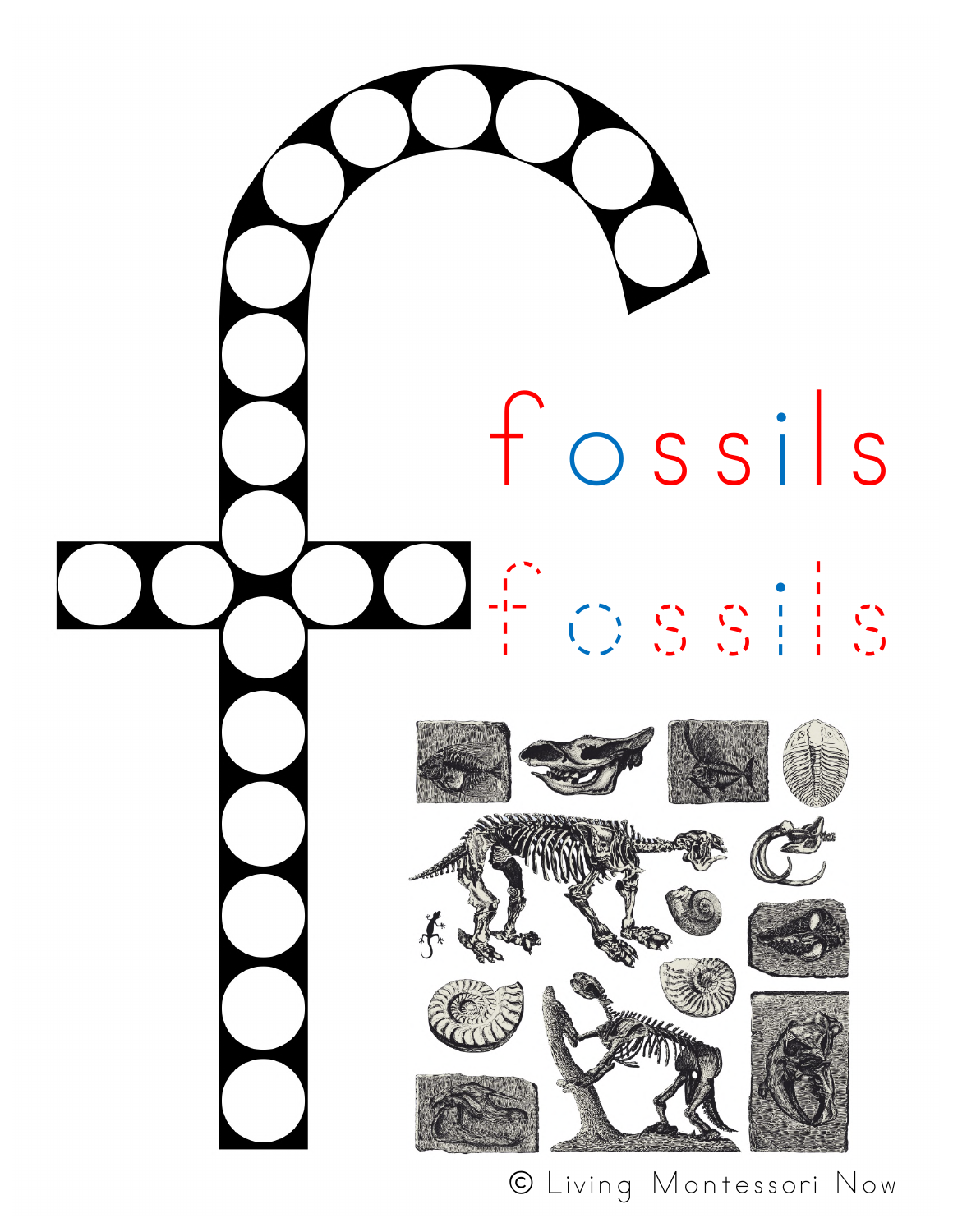

© Living Montessori Now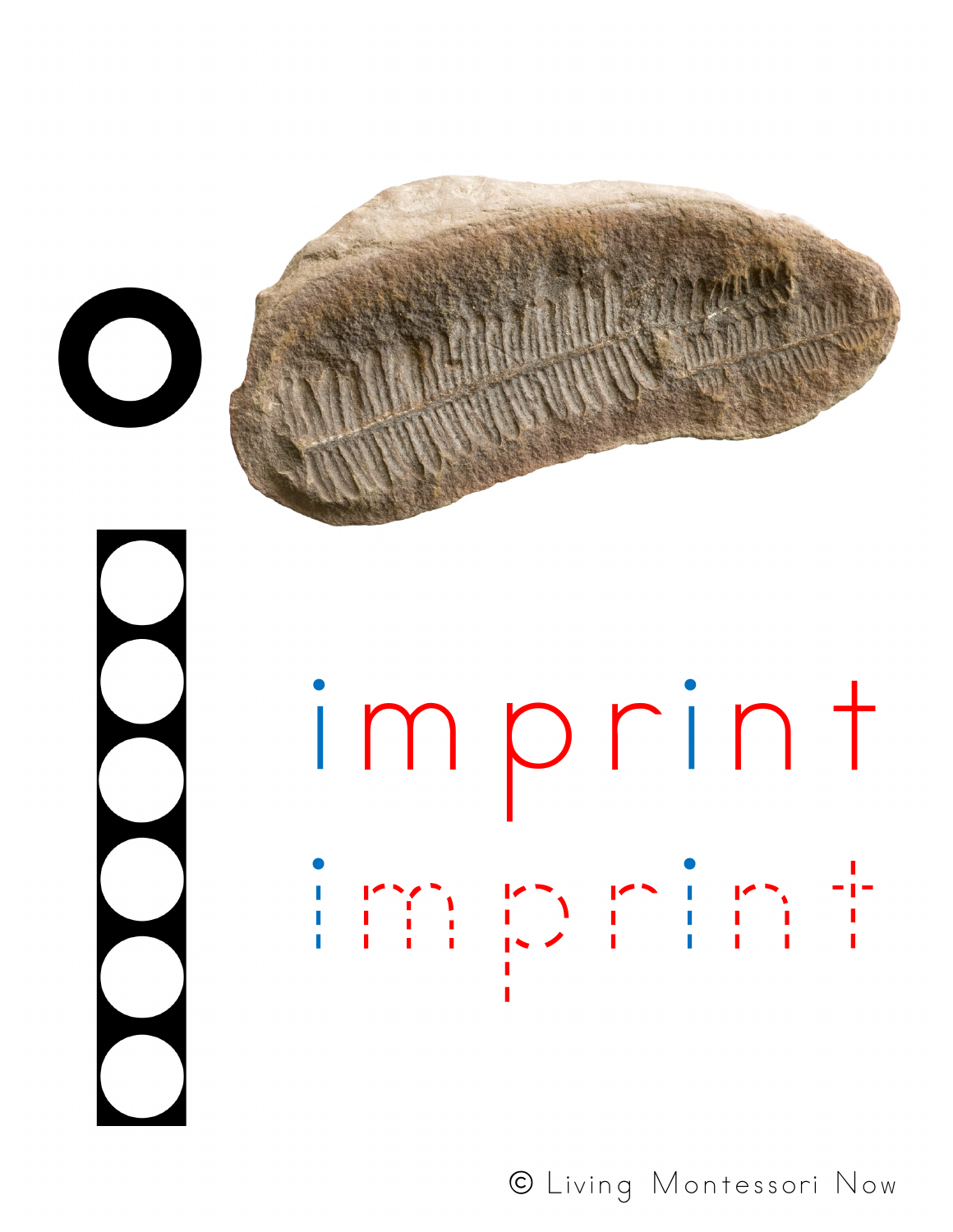





© Living Montessori Now